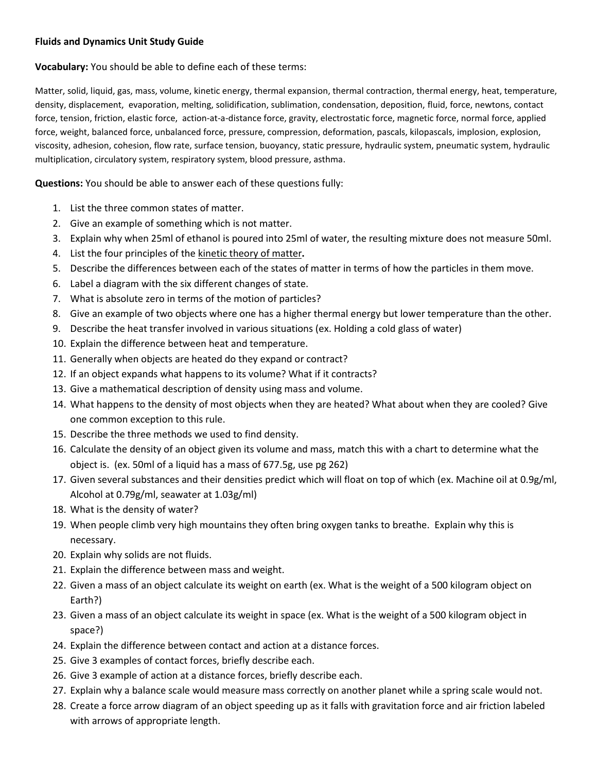## **Fluids and Dynamics Unit Study Guide**

**Vocabulary:** You should be able to define each of these terms:

Matter, solid, liquid, gas, mass, volume, kinetic energy, thermal expansion, thermal contraction, thermal energy, heat, temperature, density, displacement, evaporation, melting, solidification, sublimation, condensation, deposition, fluid, force, newtons, contact force, tension, friction, elastic force, action-at-a-distance force, gravity, electrostatic force, magnetic force, normal force, applied force, weight, balanced force, unbalanced force, pressure, compression, deformation, pascals, kilopascals, implosion, explosion, viscosity, adhesion, cohesion, flow rate, surface tension, buoyancy, static pressure, hydraulic system, pneumatic system, hydraulic multiplication, circulatory system, respiratory system, blood pressure, asthma.

**Questions:** You should be able to answer each of these questions fully:

- 1. List the three common states of matter.
- 2. Give an example of something which is not matter.
- 3. Explain why when 25ml of ethanol is poured into 25ml of water, the resulting mixture does not measure 50ml.
- 4. List the four principles of the kinetic theory of matter**.**
- 5. Describe the differences between each of the states of matter in terms of how the particles in them move.
- 6. Label a diagram with the six different changes of state.
- 7. What is absolute zero in terms of the motion of particles?
- 8. Give an example of two objects where one has a higher thermal energy but lower temperature than the other.
- 9. Describe the heat transfer involved in various situations (ex. Holding a cold glass of water)
- 10. Explain the difference between heat and temperature.
- 11. Generally when objects are heated do they expand or contract?
- 12. If an object expands what happens to its volume? What if it contracts?
- 13. Give a mathematical description of density using mass and volume.
- 14. What happens to the density of most objects when they are heated? What about when they are cooled? Give one common exception to this rule.
- 15. Describe the three methods we used to find density.
- 16. Calculate the density of an object given its volume and mass, match this with a chart to determine what the object is. (ex. 50ml of a liquid has a mass of 677.5g, use pg 262)
- 17. Given several substances and their densities predict which will float on top of which (ex. Machine oil at 0.9g/ml, Alcohol at 0.79g/ml, seawater at 1.03g/ml)
- 18. What is the density of water?
- 19. When people climb very high mountains they often bring oxygen tanks to breathe. Explain why this is necessary.
- 20. Explain why solids are not fluids.
- 21. Explain the difference between mass and weight.
- 22. Given a mass of an object calculate its weight on earth (ex. What is the weight of a 500 kilogram object on Earth?)
- 23. Given a mass of an object calculate its weight in space (ex. What is the weight of a 500 kilogram object in space?)
- 24. Explain the difference between contact and action at a distance forces.
- 25. Give 3 examples of contact forces, briefly describe each.
- 26. Give 3 example of action at a distance forces, briefly describe each.
- 27. Explain why a balance scale would measure mass correctly on another planet while a spring scale would not.
- 28. Create a force arrow diagram of an object speeding up as it falls with gravitation force and air friction labeled with arrows of appropriate length.